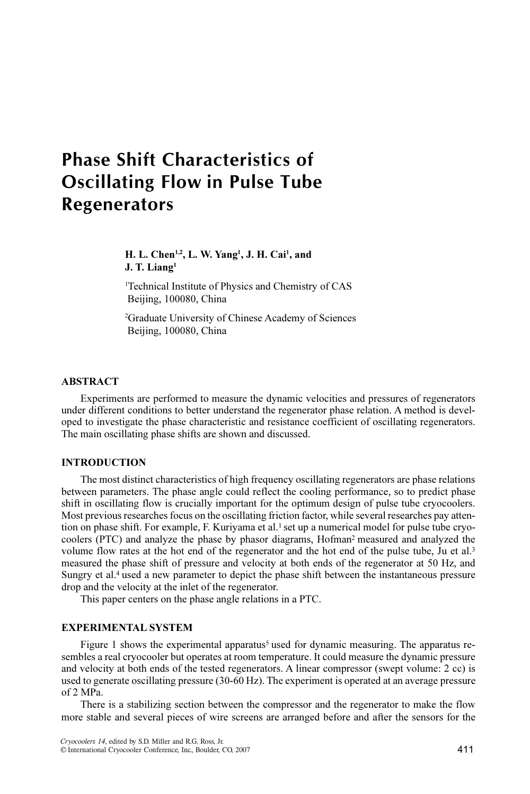# **Phase Shift Characteristics of Oscillating Flow in Pulse Tube Regenerators** Regenerators

# H. L. Chen<sup>1,2</sup>, L. W. Yang<sup>1</sup>, J. H. Cai<sup>1</sup>, and J. T. Liang<sup>1</sup>

<sup>1</sup>Technical Institute of Physics and Chemistry of CAS Beijing, 100080, China

2 Graduate University of Chinese Academy of Sciences Beijing, 100080, China

## ABSTRACT

Experiments are performed to measure the dynamic velocities and pressures of regenerators under different conditions to better understand the regenerator phase relation. A method is developed to investigate the phase characteristic and resistance coefficient of oscillating regenerators. The main oscillating phase shifts are shown and discussed.

## INTRODUCTION

The most distinct characteristics of high frequency oscillating regenerators are phase relations between parameters. The phase angle could reflect the cooling performance, so to predict phase shift in oscillating flow is crucially important for the optimum design of pulse tube cryocoolers. Most previous researches focus on the oscillating friction factor, while several researches pay attention on phase shift. For example, F. Kuriyama et al.<sup>1</sup> set up a numerical model for pulse tube cryocoolers (PTC) and analyze the phase by phasor diagrams, Hofman2 measured and analyzed the volume flow rates at the hot end of the regenerator and the hot end of the pulse tube, Ju et al.3 measured the phase shift of pressure and velocity at both ends of the regenerator at 50 Hz, and Sungry et al.<sup>4</sup> used a new parameter to depict the phase shift between the instantaneous pressure drop and the velocity at the inlet of the regenerator.

This paper centers on the phase angle relations in a PTC.

# EXPERIMENTAL SYSTEM

Figure 1 shows the experimental apparatus<sup>5</sup> used for dynamic measuring. The apparatus resembles a real cryocooler but operates at room temperature. It could measure the dynamic pressure and velocity at both ends of the tested regenerators. A linear compressor (swept volume: 2 cc) is used to generate oscillating pressure (30-60 Hz). The experiment is operated at an average pressure of 2 MPa.

There is a stabilizing section between the compressor and the regenerator to make the flow more stable and several pieces of wire screens are arranged before and after the sensors for the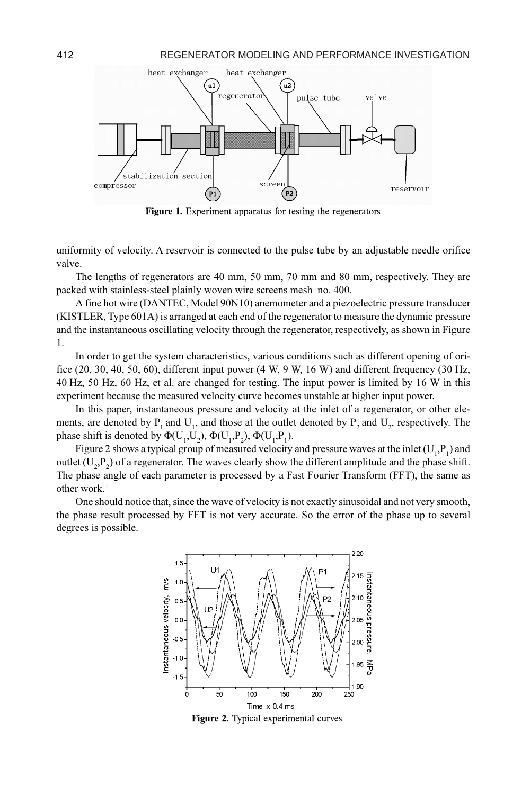

Figure 1. Experiment apparatus for testing the regenerators

uniformity of velocity. A reservoir is connected to the pulse tube by an adjustable needle orifice valve.

The lengths of regenerators are 40 mm, 50 mm, 70 mm and 80 mm, respectively. They are packed with stainless-steel plainly woven wire screens mesh no. 400.

A fine hot wire (DANTEC, Model 90N10) anemometer and a piezoelectric pressure transducer (KISTLER, Type 601A) is arranged at each end of the regenerator to measure the dynamic pressure and the instantaneous oscillating velocity through the regenerator, respectively, as shown in Figure 1.

In order to get the system characteristics, various conditions such as different opening of orifice  $(20, 30, 40, 50, 60)$ , different input power  $(4 W, 9 W, 16 W)$  and different frequency  $(30 Hz,$ 40 Hz, 50 Hz, 60 Hz, et al. are changed for testing. The input power is limited by 16 W in this experiment because the measured velocity curve becomes unstable at higher input power.

In this paper, instantaneous pressure and velocity at the inlet of a regenerator, or other elements, are denoted by  $P_1$  and  $U_1$ , and those at the outlet denoted by  $P_2$  and  $U_2$ , respectively. The phase shift is denoted by  $\Phi(U_1, U_2)$ ,  $\Phi(U_1, P_2)$ ,  $\Phi(U_1, P_1)$ .<br>Figure 2 shows a typical group of magnitude valority.

Figure 2 shows a typical group of measured velocity and pressure waves at the inlet  $(U_1, P_1)$  and outlet  $(U_2, P_2)$  of a regenerator. The waves clearly show the different amplitude and the phase shift.<br>The phase angle of each parameter is processed by a Fast Eourier Transform (EFT), the same as The phase angle of each parameter is processed by a Fast Fourier Transform (FFT), the same as other work.<sup>1</sup>

One should notice that, since the wave of velocity is not exactly sinusoidal and not very smooth, the phase result processed by FFT is not very accurate. So the error of the phase up to several degrees is possible.



Figure 2. Typical experimental curves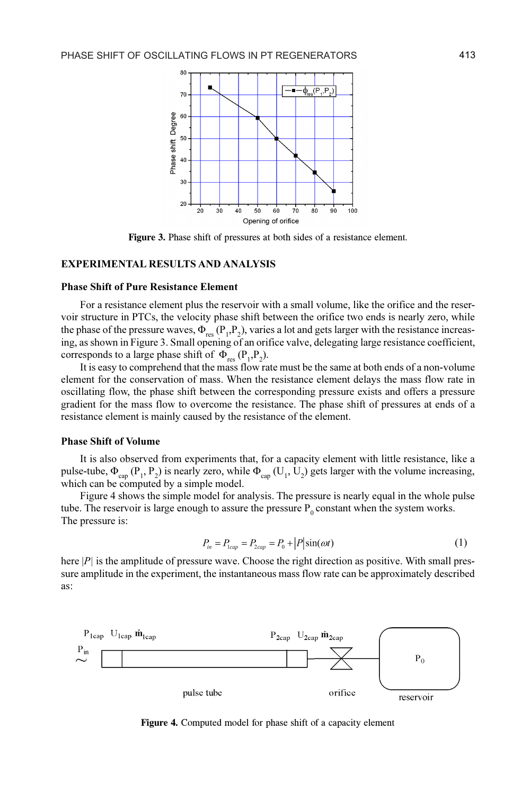

Figure 3. Phase shift of pressures at both sides of a resistance element.

#### EXPERIMENTAL RESULTS AND ANALYSIS

#### Phase Shift of Pure Resistance Element

For a resistance element plus the reservoir with a small volume, like the orifice and the reservoir structure in PTCs, the velocity phase shift between the orifice two ends is nearly zero, while the phase of the pressure waves,  $\Phi_{\text{res}}(P_1, P_2)$ , varies a lot and gets larger with the resistance increas-<br>ing as shown in Figure 3. Small poening of an orifice valve, delegating large resistance coefficient. ing, as shown in Figure 3. Small opening of an orifice valve, delegating large resistance coefficient, corresponds to a large phase shift of  $\Phi_{res} (P_1, P_2)$ .<br>It is easy to comprehend that the mass flow ray

It is easy to comprehend that the mass flow rate must be the same at both ends of a non-volume element for the conservation of mass. When the resistance element delays the mass flow rate in oscillating flow, the phase shift between the corresponding pressure exists and offers a pressure gradient for the mass flow to overcome the resistance. The phase shift of pressures at ends of a resistance element is mainly caused by the resistance of the element.

#### Phase Shift of Volume

It is also observed from experiments that, for a capacity element with little resistance, like a pulse-tube,  $\Phi_{cap} (P_1, P_2)$  is nearly zero, while  $\Phi_{cap} (U_1, U_2)$  gets larger with the volume increasing, which can be computed by a simple model which can be computed by a simple model.

Figure 4 shows the simple model for analysis. The pressure is nearly equal in the whole pulse tube. The reservoir is large enough to assure the pressure  $P_0$  constant when the system works.<br>The pressure is: The pressure is:

$$
P_{in} = P_{1cap} = P_{2cap} = P_0 + |P|\sin(\omega t)
$$
 (1)

here  $|P|$  is the amplitude of pressure wave. Choose the right direction as positive. With small pressure amplitude in the experiment, the instantaneous mass flow rate can be approximately described as:



Figure 4. Computed model for phase shift of a capacity element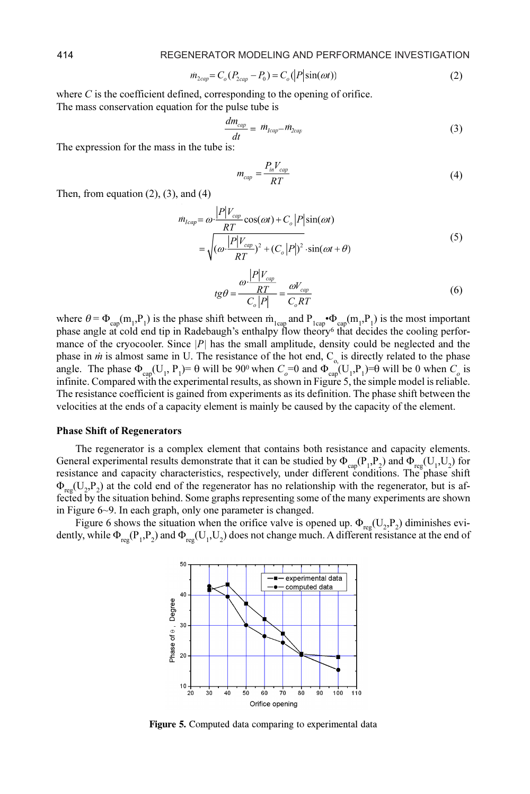$$
m_{2cap} = C_o(P_{2cap} - P_0) = C_o(|P|\sin(\omega t))
$$
\n(2)

where  $C$  is the coefficient defined, corresponding to the opening of orifice.

The mass conservation equation for the pulse tube is

 $\overline{1}$ 

$$
\frac{dm_{cap}}{dt} = m_{lcap} - m_{2cap} \tag{3}
$$

The expression for the mass in the tube is:

$$
m_{cap} = \frac{P_{in}V_{cap}}{RT}
$$
\n<sup>(4)</sup>

Then, from equation  $(2)$ ,  $(3)$ , and  $(4)$ 

$$
\dot{n}_{lcap} = \omega \cdot \frac{|P|V_{cap}}{RT} \cos(\omega t) + C_o |P| \sin(\omega t)
$$
  
= 
$$
\sqrt{(\omega \cdot \frac{|P|V_{cap}}{RT})^2 + (C_o |P|)^2} \cdot \sin(\omega t + \theta)
$$
 (5)

$$
tg\theta = \frac{\omega \cdot \frac{|P|V_{cap}}{RT}}{C_o|P|} = \frac{\omega V_{cap}}{C_o RT}
$$
(6)

where  $\theta = \Phi_{cap}(m_1, P_1)$  is the phase shift between  $m_1$ <sub>cap</sub> and  $P_{1cap} \cdot \Phi_{cap}(m_1, P_1)$  is the most important phase angle at cold end tin in Radebaugh's enthalny flow theory that decides the cooling perforphase angle at cold end tip in Radebaugh's enthalpy flow theory<sup>6</sup> that decides the cooling performance of the cryocooler. Since  $|P|$  has the small amplitude, density could be neglected and the phase in *m* is almost same in U. The resistance of the hot end,  $C_{o}$  is directly related to the phase<br>angle. The phase  $\Phi_{o}$  (U. P)= $\theta$  will be 900 when  $C = 0$  and  $\Phi_{o}$  (U. P)= $\theta$  will be 0 when C is angle. The phase  $\Phi_{cap}(U_1, P_1) = \theta$  will be 90<sup>0</sup> when  $C_o = 0$  and  $\Phi_{cap}(U_1, P_1) = \theta$  will be 0 when  $C_o$  is infinite. Compared with the experimental results as shown in Figure 5, the simple model is reliable. infinite. Compared with the experimental results, as shown in Figure 5, the simple model is reliable. The resistance coefficient is gained from experiments as its definition. The phase shift between the velocities at the ends of a capacity element is mainly be caused by the capacity of the element.

## Phase Shift of Regenerators

The regenerator is a complex element that contains both resistance and capacity elements. General experimental results demonstrate that it can be studied by  $\Phi_{cap}(P_1, P_2)$  and  $\Phi_{reg}(U_1, U_2)$  for registance and canacity characteristics, respectively, under different conditions. The phase shift resistance and capacity characteristics, respectively, under different conditions. The phase shift  $\Phi_{reg}(U_2,P_2)$  at the cold end of the regenerator has no relationship with the regenerator, but is af-<br>fected by the situation behind. Some graphs representing some of the many experiments are shown fected by the situation behind. Some graphs representing some of the many experiments are shown in Figure 6~9. In each graph, only one parameter is changed.

Figure 6 shows the situation when the orifice valve is opened up.  $\Phi_{reg}(U_2,P_2)$  diminishes evi-<br>by while  $\Phi_{reg}(P,P_1)$  and  $\Phi_{reg}(U_1,U_2)$  does not change much. A different resistance at the end of dently, while  $\Phi_{reg}(P_1, P_2)$  and  $\Phi_{reg}(U_1, U_2)$  does not change much. A different resistance at the end of



Figure 5. Computed data comparing to experimental data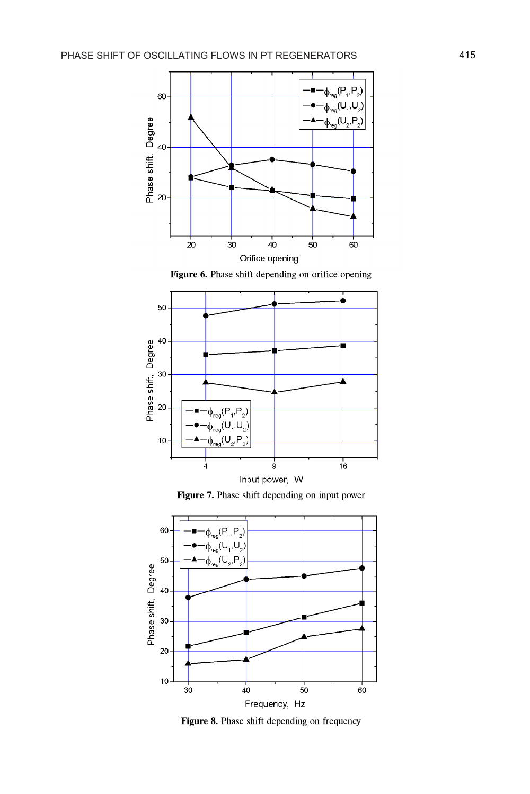

Figure 6. Phase shift depending on orifice opening







Figure 8. Phase shift depending on frequency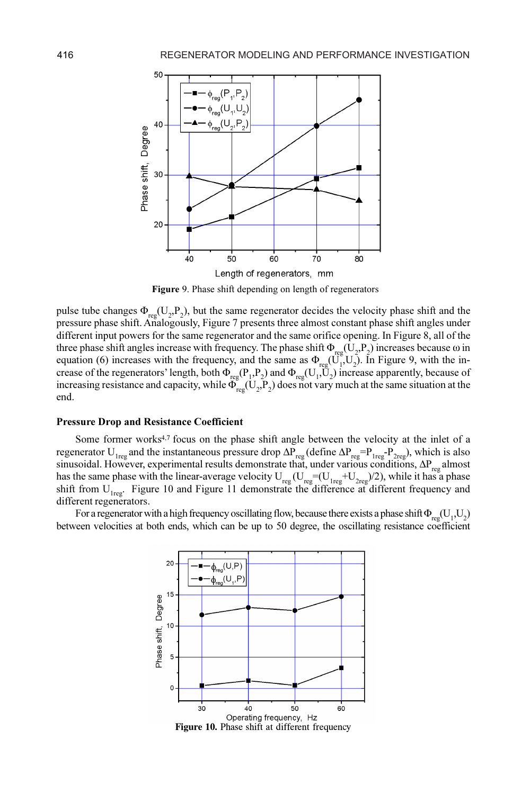

Figure 9. Phase shift depending on length of regenerators

pulse tube changes  $\Phi_{reg}(U_2, P_2)$ , but the same regenerator decides the velocity phase shift and the pressure phase shift Analogously Figure 7 presents three almost constant phase shift angles under 2 pressure phase shift. Analogously, Figure 7 presents three almost constant phase shift angles under different input powers for the same regenerator and the same orifice opening. In Figure 8, all of the three phase shift angles increase with frequency. The phase shift  $\Phi_{reg}(U_2, P_2)$  increases because  $\omega$  in equation (6) increases with the frequency and the same as  $\Phi_{eff}$  (H<sub>1</sub>). In Figure 9, with the inequation (6) increases with the frequency, and the same as  $\Phi_{reg}(\vec{U}_1, \vec{U}_2)$ . In Figure 9, with the in-<br>crease of the regenerators' length, both  $\Phi_{reg}$  (P, P) and  $\Phi_{reg}$  (U) increase apparently, because of crease of the regenerators' length, both  $\Phi_{reg}(P_1, P_2)$  and  $\Phi_{reg}(U_1, U_2)$  increase apparently, because of increasing resistance and canacity, while  $\Phi_{GUT}$  and vary much at the same situation at the increasing resistance and capacity, while  $\Phi_{reg}^{\text{}}(U_2, P_2)$  does not vary much at the same situation at the end.

#### Pressure Drop and Resistance Coefficient

Some former works<sup>4,7</sup> focus on the phase shift angle between the velocity at the inlet of a regenerator U<sub>1reg</sub> and the instantaneous pressure drop  $\Delta P_{reg}$  (define  $\Delta P_{reg} = P_{1reg} - P_{2reg}$ ), which is also<br>sinusoidal. However, experimental results demonstrate that, under various conditions,  $\Delta P_{reg}$  almost<br>has the s has the same phase with the linear-average velocity  $U_{reg}(U_{reg}=(U_{reg}+U_{2reg})/2)$ , while it has a phase shift from  $U_{1reg}$ . Figure 10 and Figure 11 demonstrate the difference at different frequency and different regenerators different regenerators.

For a regenerator with a high frequency oscillating flow, because there exists a phase shift  $\Phi_{reg}(U_1,U_2)$ <br>regularities at both ends, which can be up to 50 degree, the oscillating resistance coefficient between velocities at both ends, which can be up to 50 degree, the oscillating resistance coefficient



Figure 10. Phase shift at different frequency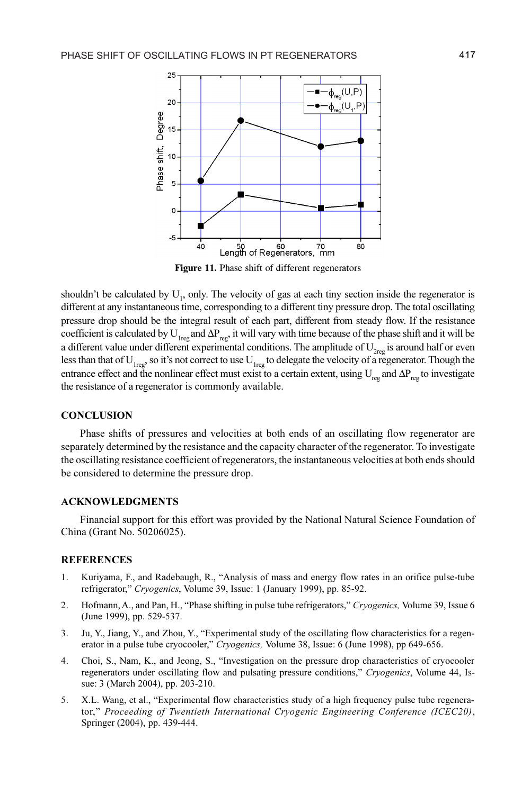

Figure 11. Phase shift of different regenerators

shouldn't be calculated by  $U_1$ , only. The velocity of gas at each tiny section inside the regenerator is different at any instantaneous time, corresponding to a different tiny pressure drop. The total oscillating pressure drop should be the integral result of each part, different from steady flow. If the resistance coefficient is calculated by  $U_{1reg}$  and  $\Delta P_{reg}$ , it will vary with time because of the phase shift and it will be<br>a different value under different experimental conditions. The applitude of U is around half or even a different value under different experimental conditions. The amplitude of  $U_{2reg}$  is around half or even<br>less than that of  $U_{2}$  so it's not correct to use  $U_{2}$  to delegate the velocity of a recenerator. Though the less than that of  $U_{1reg}$ , so it's not correct to use  $U_{1reg}$  to delegate the velocity of a regenerator. Though the extreme offert and the nonlinear offert nuclear to a certain extent, using  $U_{1}$  and  $\Delta P_{1}$  to investi entrance effect and the nonlinear effect must exist to a certain extent, using  $U_{reg}$  and  $\Delta P_{reg}$  to investigate the registered of a recoverator is commonly evoluable. the resistance of a regenerator is commonly available.

#### **CONCLUSION**

Phase shifts of pressures and velocities at both ends of an oscillating flow regenerator are separately determined by the resistance and the capacity character of the regenerator. To investigate the oscillating resistance coefficient of regenerators, the instantaneous velocities at both ends should be considered to determine the pressure drop.

## ACKNOWLEDGMENTS

Financial support for this effort was provided by the National Natural Science Foundation of China (Grant No. 50206025).

#### **REFERENCES**

- 1. Kuriyama, F., and Radebaugh, R., "Analysis of mass and energy flow rates in an orifice pulse-tube refrigerator," Cryogenics, Volume 39, Issue: 1 (January 1999), pp. 85-92.
- 2. Hofmann, A., and Pan, H., "Phase shifting in pulse tube refrigerators," Cryogenics, Volume 39, Issue 6 (June 1999), pp. 529-537.
- 3. Ju, Y., Jiang, Y., and Zhou, Y., "Experimental study of the oscillating flow characteristics for a regenerator in a pulse tube cryocooler," Cryogenics, Volume 38, Issue: 6 (June 1998), pp 649-656.
- 4. Choi, S., Nam, K., and Jeong, S., "Investigation on the pressure drop characteristics of cryocooler regenerators under oscillating flow and pulsating pressure conditions," Cryogenics, Volume 44, Issue: 3 (March 2004), pp. 203-210.
- 5. X.L. Wang, et al., "Experimental flow characteristics study of a high frequency pulse tube regenerator," Proceeding of Twentieth International Cryogenic Engineering Conference (ICEC20), Springer (2004), pp. 439-444.